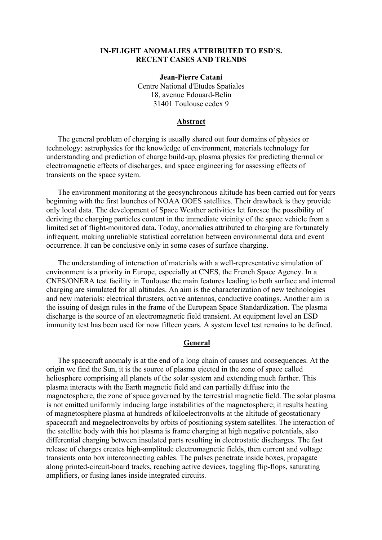## **IN-FLIGHT ANOMALIES ATTRIBUTED TO ESD'S. RECENT CASES AND TRENDS**

**Jean-Pierre Catani**  Centre National d'Etudes Spatiales 18, avenue Edouard-Belin 31401 Toulouse cedex 9

#### **Abstract**

The general problem of charging is usually shared out four domains of physics or technology: astrophysics for the knowledge of environment, materials technology for understanding and prediction of charge build-up, plasma physics for predicting thermal or electromagnetic effects of discharges, and space engineering for assessing effects of transients on the space system.

The environment monitoring at the geosynchronous altitude has been carried out for years beginning with the first launches of NOAA GOES satellites. Their drawback is they provide only local data. The development of Space Weather activities let foresee the possibility of deriving the charging particles content in the immediate vicinity of the space vehicle from a limited set of flight-monitored data. Today, anomalies attributed to charging are fortunately infrequent, making unreliable statistical correlation between environmental data and event occurrence. It can be conclusive only in some cases of surface charging.

The understanding of interaction of materials with a well-representative simulation of environment is a priority in Europe, especially at CNES, the French Space Agency. In a CNES/ONERA test facility in Toulouse the main features leading to both surface and internal charging are simulated for all altitudes. An aim is the characterization of new technologies and new materials: electrical thrusters, active antennas, conductive coatings. Another aim is the issuing of design rules in the frame of the European Space Standardization. The plasma discharge is the source of an electromagnetic field transient. At equipment level an ESD immunity test has been used for now fifteen years. A system level test remains to be defined.

#### **General**

The spacecraft anomaly is at the end of a long chain of causes and consequences. At the origin we find the Sun, it is the source of plasma ejected in the zone of space called heliosphere comprising all planets of the solar system and extending much farther. This plasma interacts with the Earth magnetic field and can partially diffuse into the magnetosphere, the zone of space governed by the terrestrial magnetic field. The solar plasma is not emitted uniformly inducing large instabilities of the magnetosphere; it results heating of magnetosphere plasma at hundreds of kiloelectronvolts at the altitude of geostationary spacecraft and megaelectronvolts by orbits of positioning system satellites. The interaction of the satellite body with this hot plasma is frame charging at high negative potentials, also differential charging between insulated parts resulting in electrostatic discharges. The fast release of charges creates high-amplitude electromagnetic fields, then current and voltage transients onto box interconnecting cables. The pulses penetrate inside boxes, propagate along printed-circuit-board tracks, reaching active devices, toggling flip-flops, saturating amplifiers, or fusing lanes inside integrated circuits.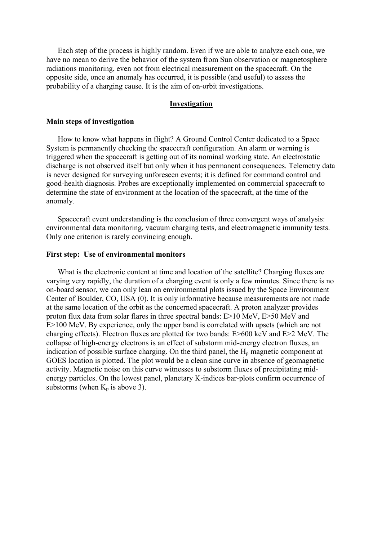Each step of the process is highly random. Even if we are able to analyze each one, we have no mean to derive the behavior of the system from Sun observation or magnetosphere radiations monitoring, even not from electrical measurement on the spacecraft. On the opposite side, once an anomaly has occurred, it is possible (and useful) to assess the probability of a charging cause. It is the aim of on-orbit investigations.

### **Investigation**

### **Main steps of investigation**

How to know what happens in flight? A Ground Control Center dedicated to a Space System is permanently checking the spacecraft configuration. An alarm or warning is triggered when the spacecraft is getting out of its nominal working state. An electrostatic discharge is not observed itself but only when it has permanent consequences. Telemetry data is never designed for surveying unforeseen events; it is defined for command control and good-health diagnosis. Probes are exceptionally implemented on commercial spacecraft to determine the state of environment at the location of the spacecraft, at the time of the anomaly.

Spacecraft event understanding is the conclusion of three convergent ways of analysis: environmental data monitoring, vacuum charging tests, and electromagnetic immunity tests. Only one criterion is rarely convincing enough.

#### **First step: Use of environmental monitors**

What is the electronic content at time and location of the satellite? Charging fluxes are varying very rapidly, the duration of a charging event is only a few minutes. Since there is no on-board sensor, we can only lean on environmental plots issued by the Space Environment Center of Boulder, CO, USA [\(0\)](#page-2-0). It is only informative because measurements are not made at the same location of the orbit as the concerned spacecraft. A proton analyzer provides proton flux data from solar flares in three spectral bands: E>10 MeV, E>50 MeV and E>100 MeV. By experience, only the upper band is correlated with upsets (which are not charging effects). Electron fluxes are plotted for two bands: E>600 keV and E>2 MeV. The collapse of high-energy electrons is an effect of substorm mid-energy electron fluxes, an indication of possible surface charging. On the third panel, the  $H<sub>p</sub>$  magnetic component at GOES location is plotted. The plot would be a clean sine curve in absence of geomagnetic activity. Magnetic noise on this curve witnesses to substorm fluxes of precipitating midenergy particles. On the lowest panel, planetary K-indices bar-plots confirm occurrence of substorms (when  $K_p$  is above 3).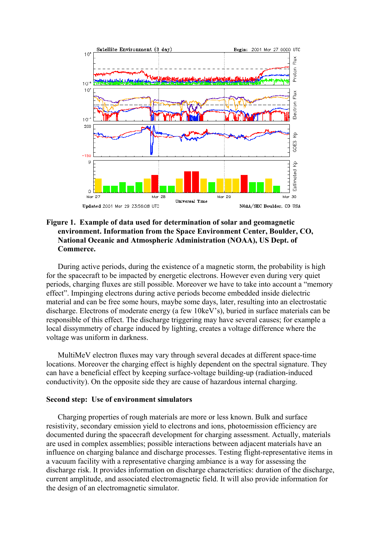

# <span id="page-2-0"></span>**Figure 1. Example of data used for determination of solar and geomagnetic environment. Information from the Space Environment Center, Boulder, CO, National Oceanic and Atmospheric Administration (NOAA), US Dept. of Commerce.**

During active periods, during the existence of a magnetic storm, the probability is high for the spacecraft to be impacted by energetic electrons. However even during very quiet periods, charging fluxes are still possible. Moreover we have to take into account a "memory effect". Impinging electrons during active periods become embedded inside dielectric material and can be free some hours, maybe some days, later, resulting into an electrostatic discharge. Electrons of moderate energy (a few 10keV's), buried in surface materials can be responsible of this effect. The discharge triggering may have several causes; for example a local dissymmetry of charge induced by lighting, creates a voltage difference where the voltage was uniform in darkness.

MultiMeV electron fluxes may vary through several decades at different space-time locations. Moreover the charging effect is highly dependent on the spectral signature. They can have a beneficial effect by keeping surface-voltage building-up (radiation-induced conductivity). On the opposite side they are cause of hazardous internal charging.

## **Second step: Use of environment simulators**

Charging properties of rough materials are more or less known. Bulk and surface resistivity, secondary emission yield to electrons and ions, photoemission efficiency are documented during the spacecraft development for charging assessment. Actually, materials are used in complex assemblies; possible interactions between adjacent materials have an influence on charging balance and discharge processes. Testing flight-representative items in a vacuum facility with a representative charging ambiance is a way for assessing the discharge risk. It provides information on discharge characteristics: duration of the discharge, current amplitude, and associated electromagnetic field. It will also provide information for the design of an electromagnetic simulator.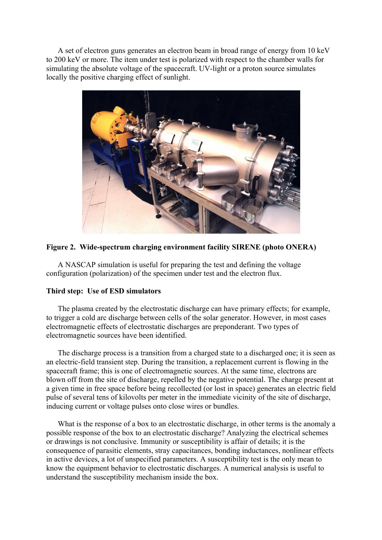A set of electron guns generates an electron beam in broad range of energy from 10 keV to 200 keV or more. The item under test is polarized with respect to the chamber walls for simulating the absolute voltage of the spacecraft. UV-light or a proton source simulates locally the positive charging effect of sunlight.



# **Figure 2. Wide-spectrum charging environment facility SIRENE (photo ONERA)**

A NASCAP simulation is useful for preparing the test and defining the voltage configuration (polarization) of the specimen under test and the electron flux.

# **Third step: Use of ESD simulators**

The plasma created by the electrostatic discharge can have primary effects; for example, to trigger a cold arc discharge between cells of the solar generator. However, in most cases electromagnetic effects of electrostatic discharges are preponderant. Two types of electromagnetic sources have been identified.

The discharge process is a transition from a charged state to a discharged one; it is seen as an electric-field transient step. During the transition, a replacement current is flowing in the spacecraft frame; this is one of electromagnetic sources. At the same time, electrons are blown off from the site of discharge, repelled by the negative potential. The charge present at a given time in free space before being recollected (or lost in space) generates an electric field pulse of several tens of kilovolts per meter in the immediate vicinity of the site of discharge, inducing current or voltage pulses onto close wires or bundles.

What is the response of a box to an electrostatic discharge, in other terms is the anomaly a possible response of the box to an electrostatic discharge? Analyzing the electrical schemes or drawings is not conclusive. Immunity or susceptibility is affair of details; it is the consequence of parasitic elements, stray capacitances, bonding inductances, nonlinear effects in active devices, a lot of unspecified parameters. A susceptibility test is the only mean to know the equipment behavior to electrostatic discharges. A numerical analysis is useful to understand the susceptibility mechanism inside the box.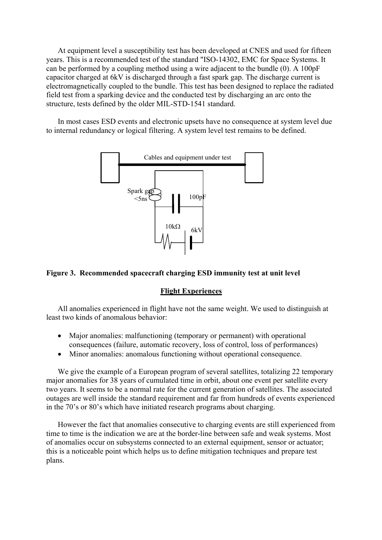At equipment level a susceptibility test has been developed at CNES and used for fifteen years. This is a recommended test of the standard "ISO-14302, EMC for Space Systems. It can be performed by a coupling method using a wire adjacent to the bundle [\(0\)](#page-4-0). A 100pF capacitor charged at 6kV is discharged through a fast spark gap. The discharge current is electromagnetically coupled to the bundle. This test has been designed to replace the radiated field test from a sparking device and the conducted test by discharging an arc onto the structure, tests defined by the older MIL-STD-1541 standard.

In most cases ESD events and electronic upsets have no consequence at system level due to internal redundancy or logical filtering. A system level test remains to be defined.



## <span id="page-4-0"></span>**Figure 3. Recommended spacecraft charging ESD immunity test at unit level**

### **Flight Experiences**

All anomalies experienced in flight have not the same weight. We used to distinguish at least two kinds of anomalous behavior:

- Major anomalies: malfunctioning (temporary or permanent) with operational consequences (failure, automatic recovery, loss of control, loss of performances)
- Minor anomalies: anomalous functioning without operational consequence.

We give the example of a European program of several satellites, totalizing 22 temporary major anomalies for 38 years of cumulated time in orbit, about one event per satellite every two years. It seems to be a normal rate for the current generation of satellites. The associated outages are well inside the standard requirement and far from hundreds of events experienced in the 70's or 80's which have initiated research programs about charging.

However the fact that anomalies consecutive to charging events are still experienced from time to time is the indication we are at the border-line between safe and weak systems. Most of anomalies occur on subsystems connected to an external equipment, sensor or actuator; this is a noticeable point which helps us to define mitigation techniques and prepare test plans.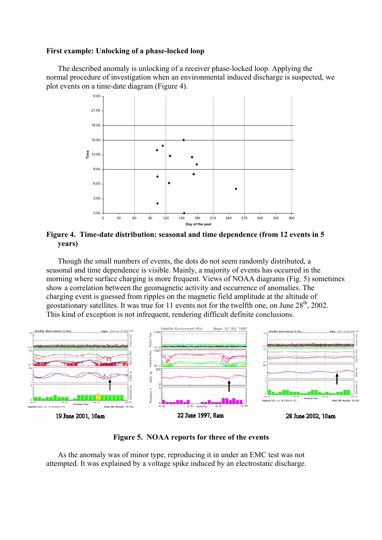## **First example: Unlocking of a phase-locked loop**

The described anomaly is unlocking of a receiver phase-locked loop. Applying the normal procedure of investigation when an environmental induced discharge is suspected, we plot events on a time-date diagram ([Fi](#page-5-0)gure 4).



<span id="page-5-0"></span>**Figure 4. Time-date distribution: seasonal and time dependence (from 12 events in 5 years)** 

Though the small numbers of events, the dots do not seem randomly distributed, a seasonal and time dependence is visible. Mainly, a majority of events has occurred in the morning where surface charging is more frequent. Views of NOAA diagrams ([Fi](#page-5-1)g. 5) sometimes show a correlation between the geomagnetic activity and occurrence of anomalies. The charging event is guessed from ripples on the magnetic field amplitude at the altitude of geostationary satellites. It was true for 11 events not for the twelfth one, on June 28<sup>th</sup>, 2002. This kind of exception is not infrequent, rendering difficult definite conclusions.



<span id="page-5-1"></span>**Figure 5. NOAA reports for three of the events** 

As the anomaly was of minor type, reproducing it in under an EMC test was not attempted. It was explained by a voltage spike induced by an electrostatic discharge.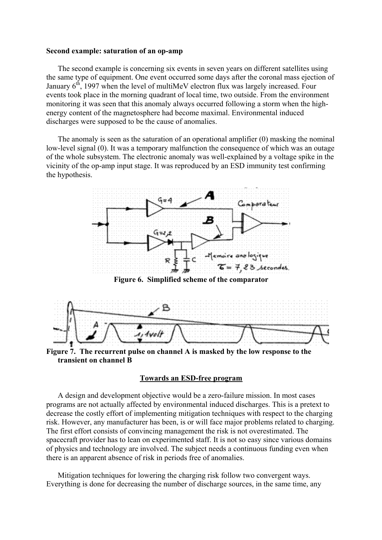### **Second example: saturation of an op-amp**

The second example is concerning six events in seven years on different satellites using the same type of equipment. One event occurred some days after the coronal mass ejection of January  $6<sup>th</sup>$ , 1997 when the level of multiMeV electron flux was largely increased. Four events took place in the morning quadrant of local time, two outside. From the environment monitoring it was seen that this anomaly always occurred following a storm when the highenergy content of the magnetosphere had become maximal. Environmental induced discharges were supposed to be the cause of anomalies.

The anomaly is seen as the saturation of an operational amplifier [\(0\)](#page-6-0) masking the nominal low-level signal [\(0\)](#page-6-1). It was a temporary malfunction the consequence of which was an outage of the whole subsystem. The electronic anomaly was well-explained by a voltage spike in the vicinity of the op-amp input stage. It was reproduced by an ESD immunity test confirming the hypothesis.



<span id="page-6-0"></span>**Figure 6. Simplified scheme of the comparator** 



<span id="page-6-1"></span>**Figure 7. The recurrent pulse on channel A is masked by the low response to the transient on channel B** 

### **Towards an ESD-free program**

A design and development objective would be a zero-failure mission. In most cases programs are not actually affected by environmental induced discharges. This is a pretext to decrease the costly effort of implementing mitigation techniques with respect to the charging risk. However, any manufacturer has been, is or will face major problems related to charging. The first effort consists of convincing management the risk is not overestimated. The spacecraft provider has to lean on experimented staff. It is not so easy since various domains of physics and technology are involved. The subject needs a continuous funding even when there is an apparent absence of risk in periods free of anomalies.

Mitigation techniques for lowering the charging risk follow two convergent ways. Everything is done for decreasing the number of discharge sources, in the same time, any